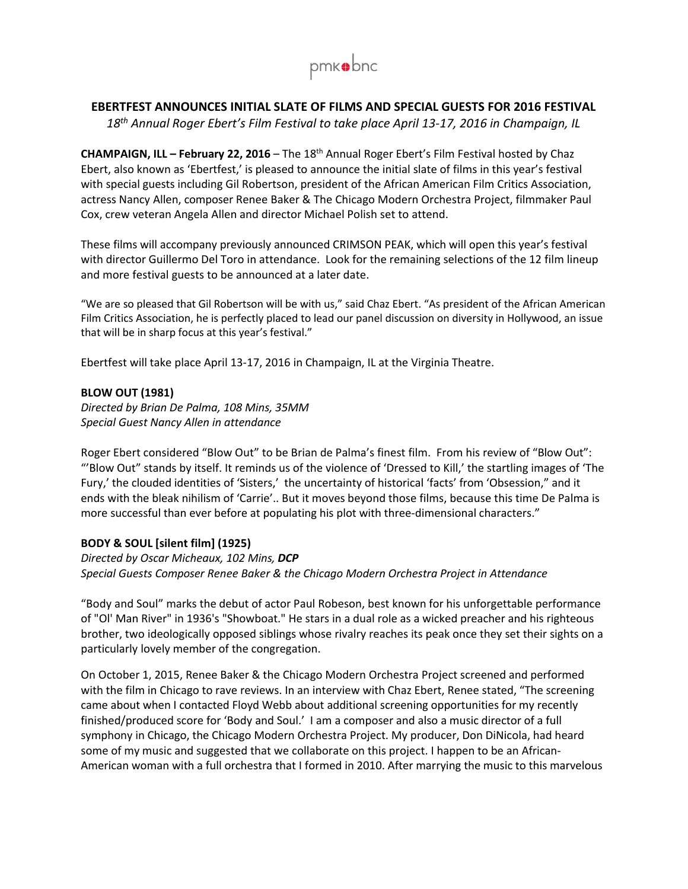

# **EBERTFEST ANNOUNCES INITIAL SLATE OF FILMS AND SPECIAL GUESTS FOR 2016 FESTIVAL**

*18th Annual Roger Ebert's Film Festival to take place April 13-17, 2016 in Champaign, IL* 

**CHAMPAIGN, ILL – February 22, 2016** – The 18th Annual Roger Ebert's Film Festival hosted by Chaz Ebert, also known as 'Ebertfest,' is pleased to announce the initial slate of films in this year's festival with special guests including Gil Robertson, president of the African American Film Critics Association, actress Nancy Allen, composer Renee Baker & The Chicago Modern Orchestra Project, filmmaker Paul Cox, crew veteran Angela Allen and director Michael Polish set to attend.

These films will accompany previously announced CRIMSON PEAK, which will open this year's festival with director Guillermo Del Toro in attendance. Look for the remaining selections of the 12 film lineup and more festival guests to be announced at a later date.

"We are so pleased that Gil Robertson will be with us," said Chaz Ebert. "As president of the African American Film Critics Association, he is perfectly placed to lead our panel discussion on diversity in Hollywood, an issue that will be in sharp focus at this year's festival."

Ebertfest will take place April 13-17, 2016 in Champaign, IL at the Virginia Theatre.

## **BLOW OUT (1981)**

*Directed by Brian De Palma, 108 Mins, 35MM Special Guest Nancy Allen in attendance* 

Roger Ebert considered "Blow Out" to be Brian de Palma's finest film. From his review of "Blow Out": "'Blow Out" stands by itself. It reminds us of the violence of 'Dressed to Kill,' the startling images of 'The Fury,' the clouded identities of 'Sisters,' the uncertainty of historical 'facts' from 'Obsession," and it ends with the bleak nihilism of 'Carrie'.. But it moves beyond those films, because this time De Palma is more successful than ever before at populating his plot with three-dimensional characters."

# **BODY & SOUL [silent film] (1925)**

*Directed by Oscar Micheaux, 102 Mins, DCP Special Guests Composer Renee Baker & the Chicago Modern Orchestra Project in Attendance* 

"Body and Soul" marks the debut of actor Paul Robeson, best known for his unforgettable performance of "Ol' Man River" in 1936's "Showboat." He stars in a dual role as a wicked preacher and his righteous brother, two ideologically opposed siblings whose rivalry reaches its peak once they set their sights on a particularly lovely member of the congregation.

On October 1, 2015, Renee Baker & the Chicago Modern Orchestra Project screened and performed with the film in Chicago to rave reviews. In an interview with Chaz Ebert, Renee stated, "The screening came about when I contacted Floyd Webb about additional screening opportunities for my recently finished/produced score for 'Body and Soul.' I am a composer and also a music director of a full symphony in Chicago, the Chicago Modern Orchestra Project. My producer, Don DiNicola, had heard some of my music and suggested that we collaborate on this project. I happen to be an African-American woman with a full orchestra that I formed in 2010. After marrying the music to this marvelous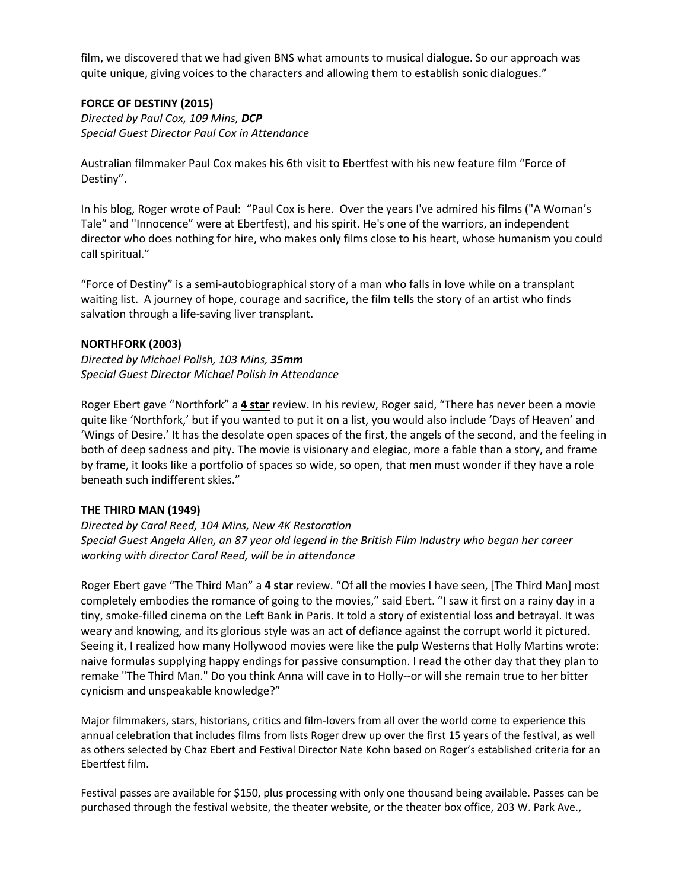film, we discovered that we had given BNS what amounts to musical dialogue. So our approach was quite unique, giving voices to the characters and allowing them to establish sonic dialogues."

### **FORCE OF DESTINY (2015)**

*Directed by Paul Cox, 109 Mins, DCP Special Guest Director Paul Cox in Attendance*

Australian filmmaker Paul Cox makes his 6th visit to Ebertfest with his new feature film "Force of Destiny".

In his blog, Roger wrote of Paul: "Paul Cox is here. Over the years I've admired his films ("A Woman's Tale" and "Innocence" were at Ebertfest), and his spirit. He's one of the warriors, an independent director who does nothing for hire, who makes only films close to his heart, whose humanism you could call spiritual."

"Force of Destiny" is a semi-autobiographical story of a man who falls in love while on a transplant waiting list. A journey of hope, courage and sacrifice, the film tells the story of an artist who finds salvation through a life-saving liver transplant.

### **NORTHFORK (2003)**

*Directed by Michael Polish, 103 Mins, 35mm Special Guest Director Michael Polish in Attendance*

Roger Ebert gave "Northfork" a **4 star** review. In his review, Roger said, "There has never been a movie quite like 'Northfork,' but if you wanted to put it on a list, you would also include 'Days of Heaven' and 'Wings of Desire.' It has the desolate open spaces of the first, the angels of the second, and the feeling in both of deep sadness and pity. The movie is visionary and elegiac, more a fable than a story, and frame by frame, it looks like a portfolio of spaces so wide, so open, that men must wonder if they have a role beneath such indifferent skies."

### **THE THIRD MAN (1949)**

*Directed by Carol Reed, 104 Mins, New 4K Restoration Special Guest Angela Allen, an 87 year old legend in the British Film Industry who began her career working with director Carol Reed, will be in attendance* 

Roger Ebert gave "The Third Man" a **4 star** review. "Of all the movies I have seen, [The Third Man] most completely embodies the romance of going to the movies," said Ebert. "I saw it first on a rainy day in a tiny, smoke-filled cinema on the Left Bank in Paris. It told a story of existential loss and betrayal. It was weary and knowing, and its glorious style was an act of defiance against the corrupt world it pictured. Seeing it, I realized how many Hollywood movies were like the pulp Westerns that Holly Martins wrote: naive formulas supplying happy endings for passive consumption. I read the other day that they plan to remake "The Third Man." Do you think Anna will cave in to Holly--or will she remain true to her bitter cynicism and unspeakable knowledge?"

Major filmmakers, stars, historians, critics and film-lovers from all over the world come to experience this annual celebration that includes films from lists Roger drew up over the first 15 years of the festival, as well as others selected by Chaz Ebert and Festival Director Nate Kohn based on Roger's established criteria for an Ebertfest film.

Festival passes are available for \$150, plus processing with only one thousand being available. Passes can be purchased through the festival website, the theater website, or the theater box office, 203 W. Park Ave.,